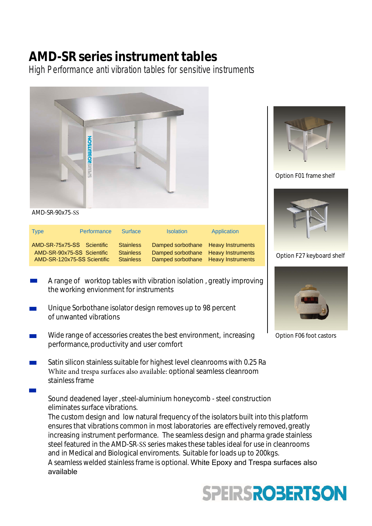## **AMD-SR series instrument tables**

High Performance anti vibration tables for sensitive instruments



AMD-SR-90x75-SS

| <b>Type</b>                                                                             | <b>Performance</b> | <b>Surface</b>                                           | <b>Isolation</b>                                                                                                  | Application |
|-----------------------------------------------------------------------------------------|--------------------|----------------------------------------------------------|-------------------------------------------------------------------------------------------------------------------|-------------|
| AMD-SR-75x75-SS Scientific<br>AMD-SR-90x75-SS Scientific<br>AMD-SR-120x75-SS Scientific |                    | <b>Stainless</b><br><b>Stainless</b><br><b>Stainless</b> | Damped sorbothane Heavy Instruments<br>Damped sorbothane Heavy Instruments<br>Damped sorbothane Heavy Instruments |             |





Option F27 keyboard shelf



Option F06 foot castors

- A range of worktop tables with vibration isolation , greatly improving the working envionment for instruments
- Unique Sorbothane isolator design removes up to 98 percent of unwanted vibrations
- Wide range of accessories creates the best environment, increasing performance, productivity and user comfort
- Satin silicon stainless suitable for highest level cleanrooms with 0.25 Ra White and trespa surfaces also available: optional seamless cleanroom stainless frame

Sound deadened layer , steel-aluminium honeycomb - steel construction eliminates surface vibrations.

The custom design and low natural frequency of the isolators built into this platform ensures that vibrations common in most laboratories are effectively removed, greatly increasing instrument performance. The seamless design and pharma grade stainless steel featured in the AMD-SR-SS series makes these tables ideal for use in cleanrooms and in Medical and Biological enviroments. Suitable for loads up to 200kgs. A seamless welded stainless frame is optional. White Epoxy and Trespa surfaces also available